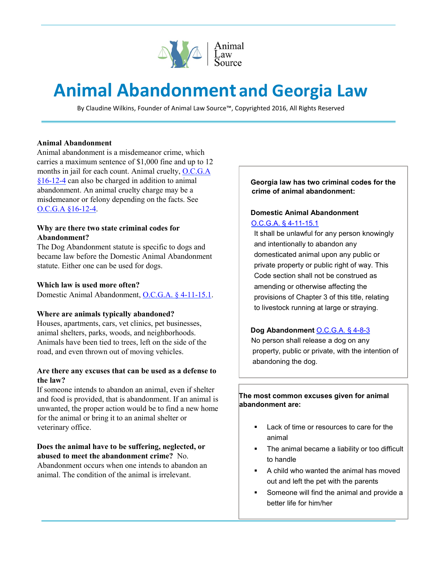

# **Animal Abandonment and Georgia Law**

By Claudine Wilkins, Founder of Animal Law Source™, Copyrighted 2016, All Rights Reserved

#### **Animal Abandonment**

Animal abandonment is a misdemeanor crime, which carries a maximum sentence of \$1,000 fine and up to 12 months in jail for each count. Animal cruelty, O.C.G.A §16-12-4 can also be charged in addition to animal abandonment. An animal cruelty charge may be a misdemeanor or felony depending on the facts. See O.C.G.A §16-12-4.

# **Why are there two state criminal codes for Abandonment?**

The Dog Abandonment statute is specific to dogs and became law before the Domestic Animal Abandonment statute. Either one can be used for dogs.

#### **Which law is used more often?**

Domestic Animal Abandonment, O.C.G.A. § 4-11-15.1.

#### **Where are animals typically abandoned?**

Houses, apartments, cars, vet clinics, pet businesses, animal shelters, parks, woods, and neighborhoods. Animals have been tied to trees, left on the side of the road, and even thrown out of moving vehicles.

# **Are there any excuses that can be used as a defense to the law?**

If someone intends to abandon an animal, even if shelter and food is provided, that is abandonment. If an animal is unwanted, the proper action would be to find a new home for the animal or bring it to an animal shelter or veterinary office.

# **Does the animal have to be suffering, neglected, or abused to meet the abandonment crime?** No.

Abandonment occurs when one intends to abandon an animal. The condition of the animal is irrelevant.

#### **Georgia law has two criminal codes for the crime of animal abandonment:**

# **Domestic Animal Abandonment**  O.C.G.A. § 4-11-15.1

It shall be unlawful for any person knowingly and intentionally to abandon any domesticated animal upon any public or private property or public right of way. This Code section shall not be construed as amending or otherwise affecting the provisions of Chapter 3 of this title, relating to livestock running at large or straying.

# **Dog Abandonment** O.C.G.A. § 4-8-3

 No person shall release a dog on any property, public or private, with the intention of abandoning the dog.

**The most common excuses given for animal abandonment are:** 

- **Lack of time or resources to care for the** animal
- **The animal became a liability or too difficult** to handle
- A child who wanted the animal has moved out and left the pet with the parents
- **Someone will find the animal and provide a** better life for him/her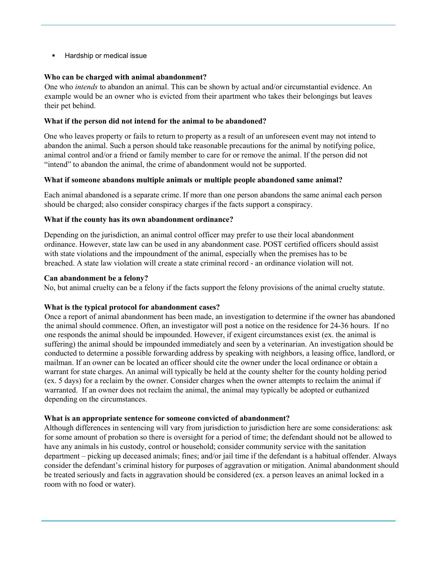**Hardship or medical issue** 

# **Who can be charged with animal abandonment?**

One who *intends* to abandon an animal. This can be shown by actual and/or circumstantial evidence. An example would be an owner who is evicted from their apartment who takes their belongings but leaves their pet behind.

# **What if the person did not intend for the animal to be abandoned?**

One who leaves property or fails to return to property as a result of an unforeseen event may not intend to abandon the animal. Such a person should take reasonable precautions for the animal by notifying police, animal control and/or a friend or family member to care for or remove the animal. If the person did not "intend" to abandon the animal, the crime of abandonment would not be supported.

# **What if someone abandons multiple animals or multiple people abandoned same animal?**

Each animal abandoned is a separate crime. If more than one person abandons the same animal each person should be charged; also consider conspiracy charges if the facts support a conspiracy.

# **What if the county has its own abandonment ordinance?**

Depending on the jurisdiction, an animal control officer may prefer to use their local abandonment ordinance. However, state law can be used in any abandonment case. POST certified officers should assist with state violations and the impoundment of the animal, especially when the premises has to be breached. A state law violation will create a state criminal record - an ordinance violation will not.

# **Can abandonment be a felony?**

No, but animal cruelty can be a felony if the facts support the felony provisions of the animal cruelty statute.

# **What is the typical protocol for abandonment cases?**

Once a report of animal abandonment has been made, an investigation to determine if the owner has abandoned the animal should commence. Often, an investigator will post a notice on the residence for 24-36 hours. If no one responds the animal should be impounded. However, if exigent circumstances exist (ex. the animal is suffering) the animal should be impounded immediately and seen by a veterinarian. An investigation should be conducted to determine a possible forwarding address by speaking with neighbors, a leasing office, landlord, or mailman. If an owner can be located an officer should cite the owner under the local ordinance or obtain a warrant for state charges. An animal will typically be held at the county shelter for the county holding period (ex. 5 days) for a reclaim by the owner. Consider charges when the owner attempts to reclaim the animal if warranted. If an owner does not reclaim the animal, the animal may typically be adopted or euthanized depending on the circumstances.

# **What is an appropriate sentence for someone convicted of abandonment?**

Although differences in sentencing will vary from jurisdiction to jurisdiction here are some considerations: ask for some amount of probation so there is oversight for a period of time; the defendant should not be allowed to have any animals in his custody, control or household; consider community service with the sanitation department – picking up deceased animals; fines; and/or jail time if the defendant is a habitual offender. Always consider the defendant's criminal history for purposes of aggravation or mitigation. Animal abandonment should be treated seriously and facts in aggravation should be considered (ex. a person leaves an animal locked in a room with no food or water).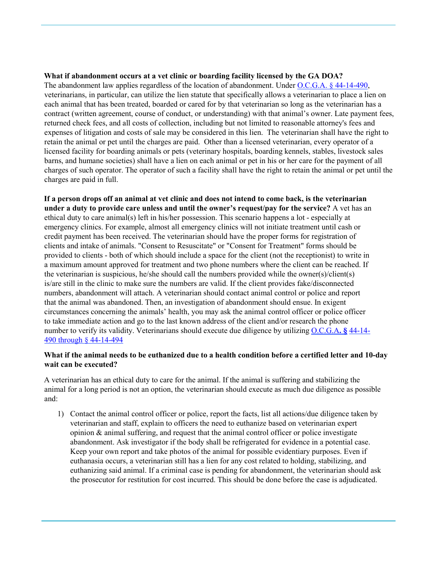# **What if abandonment occurs at a vet clinic or boarding facility licensed by the GA DOA?**

The abandonment law applies regardless of the location of abandonment. Under O.C.G.A. § 44-14-490, veterinarians, in particular, can utilize the lien statute that specifically allows a veterinarian to place a lien on each animal that has been treated, boarded or cared for by that veterinarian so long as the veterinarian has a contract (written agreement, course of conduct, or understanding) with that animal's owner. Late payment fees, returned check fees, and all costs of collection, including but not limited to reasonable attorney's fees and expenses of litigation and costs of sale may be considered in this lien. The veterinarian shall have the right to retain the animal or pet until the charges are paid. Other than a licensed veterinarian, every operator of a licensed facility for boarding animals or pets (veterinary hospitals, boarding kennels, stables, livestock sales barns, and humane societies) shall have a lien on each animal or pet in his or her care for the payment of all charges of such operator. The operator of such a facility shall have the right to retain the animal or pet until the charges are paid in full.

**If a person drops off an animal at vet clinic and does not intend to come back, is the veterinarian under a duty to provide care unless and until the owner's request/pay for the service?** A vet has an ethical duty to care animal(s) left in his/her possession. This scenario happens a lot - especially at emergency clinics. For example, almost all emergency clinics will not initiate treatment until cash or credit payment has been received. The veterinarian should have the proper forms for registration of clients and intake of animals. "Consent to Resuscitate" or "Consent for Treatment" forms should be provided to clients - both of which should include a space for the client (not the receptionist) to write in a maximum amount approved for treatment and two phone numbers where the client can be reached. If the veterinarian is suspicious, he/she should call the numbers provided while the owner(s)/client(s) is/are still in the clinic to make sure the numbers are valid. If the client provides fake/disconnected numbers, abandonment will attach. A veterinarian should contact animal control or police and report that the animal was abandoned. Then, an investigation of abandonment should ensue. In exigent circumstances concerning the animals' health, you may ask the animal control officer or police officer to take immediate action and go to the last known address of the client and/or research the phone number to verify its validity. Veterinarians should execute due diligence by utilizing O.C.G.A**. §** 44-14- 490 through § 44-14-494

# **What if the animal needs to be euthanized due to a health condition before a certified letter and 10-day wait can be executed?**

A veterinarian has an ethical duty to care for the animal. If the animal is suffering and stabilizing the animal for a long period is not an option, the veterinarian should execute as much due diligence as possible and:

1) Contact the animal control officer or police, report the facts, list all actions/due diligence taken by veterinarian and staff, explain to officers the need to euthanize based on veterinarian expert opinion  $\&$  animal suffering, and request that the animal control officer or police investigate abandonment. Ask investigator if the body shall be refrigerated for evidence in a potential case. Keep your own report and take photos of the animal for possible evidentiary purposes. Even if euthanasia occurs, a veterinarian still has a lien for any cost related to holding, stabilizing, and euthanizing said animal. If a criminal case is pending for abandonment, the veterinarian should ask the prosecutor for restitution for cost incurred. This should be done before the case is adjudicated.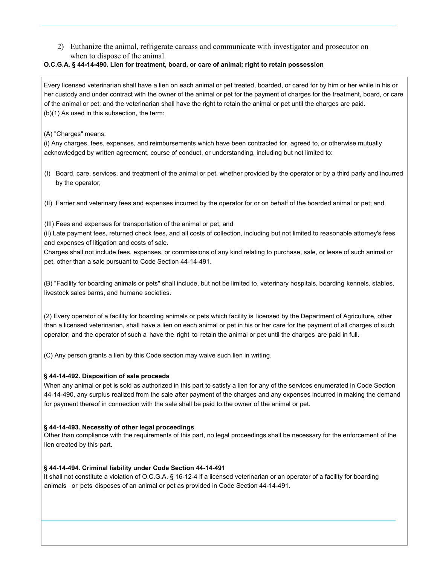2) Euthanize the animal, refrigerate carcass and communicate with investigator and prosecutor on when to dispose of the animal.

#### **O.C.G.A. § 44-14-490. Lien for treatment, board, or care of animal; right to retain possession**

Every licensed veterinarian shall have a lien on each animal or pet treated, boarded, or cared for by him or her while in his or her custody and under contract with the owner of the animal or pet for the payment of charges for the treatment, board, or care of the animal or pet; and the veterinarian shall have the right to retain the animal or pet until the charges are paid. (b)(1) As used in this subsection, the term:

(A) "Charges" means:

(i) Any charges, fees, expenses, and reimbursements which have been contracted for, agreed to, or otherwise mutually acknowledged by written agreement, course of conduct, or understanding, including but not limited to:

- (I) Board, care, services, and treatment of the animal or pet, whether provided by the operator or by a third party and incurred by the operator;
- (II) Farrier and veterinary fees and expenses incurred by the operator for or on behalf of the boarded animal or pet; and

(III) Fees and expenses for transportation of the animal or pet; and

(ii) Late payment fees, returned check fees, and all costs of collection, including but not limited to reasonable attorney's fees and expenses of litigation and costs of sale.

Charges shall not include fees, expenses, or commissions of any kind relating to purchase, sale, or lease of such animal or pet, other than a sale pursuant to Code Section 44-14-491.

(B) "Facility for boarding animals or pets" shall include, but not be limited to, veterinary hospitals, boarding kennels, stables, livestock sales barns, and humane societies.

(2) Every operator of a facility for boarding animals or pets which facility is licensed by the Department of Agriculture, other than a licensed veterinarian, shall have a lien on each animal or pet in his or her care for the payment of all charges of such operator; and the operator of such a have the right to retain the animal or pet until the charges are paid in full.

(C) Any person grants a lien by this Code section may waive such lien in writing.

# **§ 44-14-492. Disposition of sale proceeds**

When any animal or pet is sold as authorized in this part to satisfy a lien for any of the services enumerated in Code Section 44-14-490, any surplus realized from the sale after payment of the charges and any expenses incurred in making the demand for payment thereof in connection with the sale shall be paid to the owner of the animal or pet.

# **§ 44-14-493. Necessity of other legal proceedings**

Other than compliance with the requirements of this part, no legal proceedings shall be necessary for the enforcement of the lien created by this part.

#### **§ 44-14-494. Criminal liability under Code Section 44-14-491**

It shall not constitute a violation of O.C.G.A. § 16-12-4 if a licensed veterinarian or an operator of a facility for boarding animals or pets disposes of an animal or pet as provided in Code Section 44-14-491.